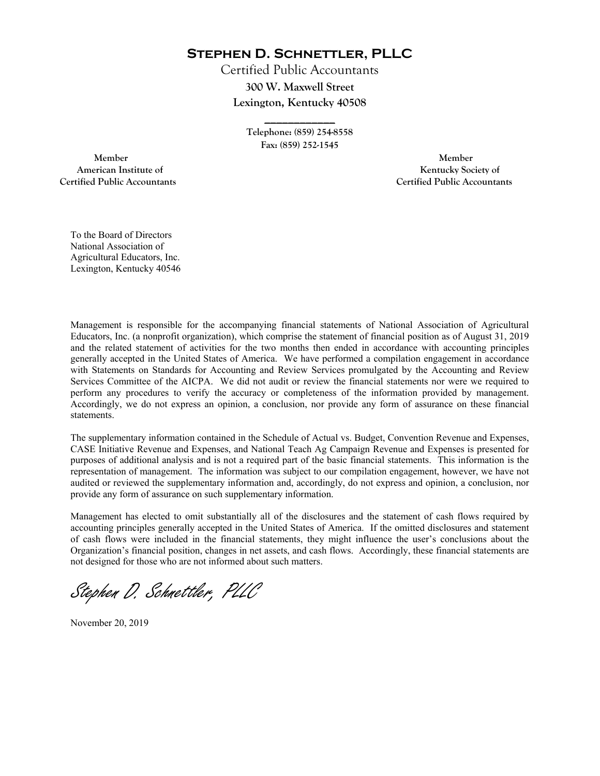**Stephen D. Schnettler, PLLC**

Certified Public Accountants **300 W. Maxwell Street Lexington, Kentucky 40508** 

> **Telephone: (859) 254-8558 Fax: (859) 252-1545**

**\_\_\_\_\_\_\_\_\_\_\_\_** 

 **Member Member Certified Public Accountants Certified Public Accountants** 

American Institute of **Kentucky Society of** 

To the Board of Directors National Association of Agricultural Educators, Inc. Lexington, Kentucky 40546

Management is responsible for the accompanying financial statements of National Association of Agricultural Educators, Inc. (a nonprofit organization), which comprise the statement of financial position as of August 31, 2019 and the related statement of activities for the two months then ended in accordance with accounting principles generally accepted in the United States of America. We have performed a compilation engagement in accordance with Statements on Standards for Accounting and Review Services promulgated by the Accounting and Review Services Committee of the AICPA. We did not audit or review the financial statements nor were we required to perform any procedures to verify the accuracy or completeness of the information provided by management. Accordingly, we do not express an opinion, a conclusion, nor provide any form of assurance on these financial statements.

The supplementary information contained in the Schedule of Actual vs. Budget, Convention Revenue and Expenses, CASE Initiative Revenue and Expenses, and National Teach Ag Campaign Revenue and Expenses is presented for purposes of additional analysis and is not a required part of the basic financial statements. This information is the representation of management. The information was subject to our compilation engagement, however, we have not audited or reviewed the supplementary information and, accordingly, do not express and opinion, a conclusion, nor provide any form of assurance on such supplementary information.

Management has elected to omit substantially all of the disclosures and the statement of cash flows required by accounting principles generally accepted in the United States of America. If the omitted disclosures and statement of cash flows were included in the financial statements, they might influence the user's conclusions about the Organization's financial position, changes in net assets, and cash flows. Accordingly, these financial statements are not designed for those who are not informed about such matters.

Stephen D. Schnettler, PLLC

November 20, 2019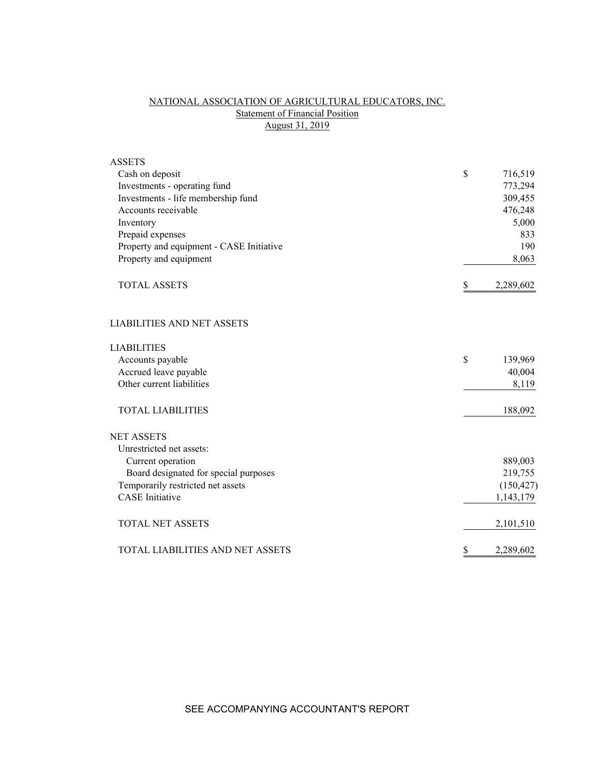# NATIONAL ASSOCIATION OF AGRICULTURAL EDUCATORS, INC. Statement of Financial Position August 31, 2019

| <b>ASSETS</b>                            |                 |
|------------------------------------------|-----------------|
| Cash on deposit                          | \$<br>716,519   |
| Investments - operating fund             | 773,294         |
| Investments - life membership fund       | 309,455         |
| Accounts receivable                      | 476,248         |
| Inventory                                | 5,000           |
| Prepaid expenses                         | 833             |
| Property and equipment - CASE Initiative | 190             |
| Property and equipment                   | 8,063           |
| <b>TOTAL ASSETS</b>                      | \$<br>2,289,602 |
| <b>LIABILITIES AND NET ASSETS</b>        |                 |
| <b>LIABILITIES</b>                       |                 |
| Accounts payable                         | \$<br>139,969   |
| Accrued leave payable                    | 40,004          |
| Other current liabilities                | 8,119           |
| <b>TOTAL LIABILITIES</b>                 | 188,092         |
| <b>NET ASSETS</b>                        |                 |
| Unrestricted net assets:                 |                 |
| Current operation                        | 889,003         |
| Board designated for special purposes    | 219,755         |
| Temporarily restricted net assets        | (150, 427)      |
| <b>CASE</b> Initiative                   | 1,143,179       |
| <b>TOTAL NET ASSETS</b>                  | 2,101,510       |
| TOTAL LIABILITIES AND NET ASSETS         | \$<br>2,289,602 |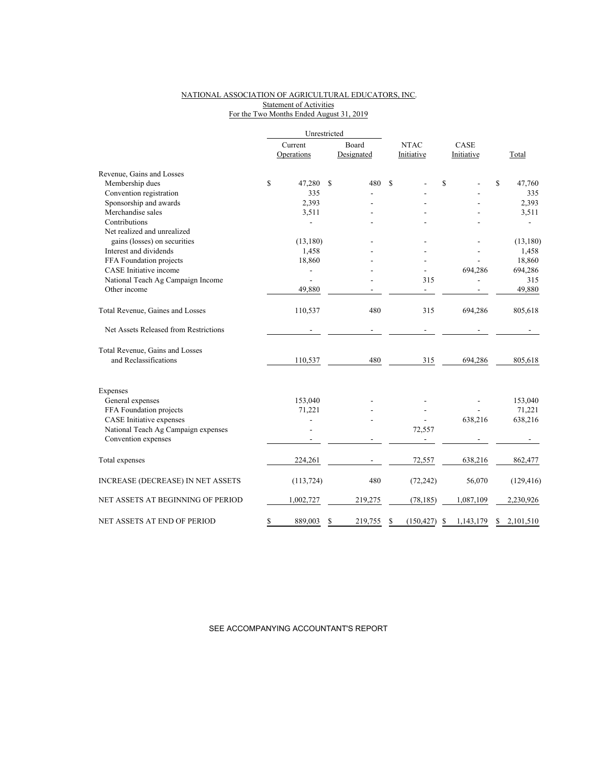# NATIONAL ASSOCIATION OF AGRICULTURAL EDUCATORS, INC. Statement of Activities For the Two Months Ended August 31, 2019

|                                          |               | Unrestricted  |                          |                |                 |
|------------------------------------------|---------------|---------------|--------------------------|----------------|-----------------|
|                                          | Current       | Board         | <b>NTAC</b>              | CASE           |                 |
|                                          | Operations    | Designated    | Initiative               | Initiative     | Total           |
| Revenue, Gains and Losses                |               |               |                          |                |                 |
| Membership dues                          | \$<br>47,280  | \$<br>480     | <sup>\$</sup>            | \$             | \$<br>47,760    |
| Convention registration                  | 335           |               |                          |                | 335             |
| Sponsorship and awards                   | 2,393         |               |                          |                | 2,393           |
| Merchandise sales                        | 3,511         |               |                          |                | 3,511           |
| Contributions                            |               |               |                          |                |                 |
| Net realized and unrealized              |               |               |                          |                |                 |
| gains (losses) on securities             | (13, 180)     |               |                          |                | (13, 180)       |
| Interest and dividends                   | 1,458         |               |                          |                | 1,458           |
| FFA Foundation projects                  | 18,860        |               |                          |                | 18,860          |
| CASE Initiative income                   |               |               |                          | 694,286        | 694,286         |
| National Teach Ag Campaign Income        |               |               | 315                      |                | 315             |
| Other income                             | 49,880        |               | $\overline{\phantom{0}}$ |                | 49,880          |
| Total Revenue, Gaines and Losses         | 110,537       | 480           | 315                      | 694,286        | 805,618         |
| Net Assets Released from Restrictions    |               | $\frac{1}{2}$ |                          |                |                 |
| Total Revenue, Gains and Losses          |               |               |                          |                |                 |
| and Reclassifications                    | 110,537       | 480           | 315                      | 694,286        | 805,618         |
| Expenses                                 |               |               |                          |                |                 |
| General expenses                         | 153,040       |               |                          |                | 153,040         |
| FFA Foundation projects                  | 71,221        |               |                          |                | 71,221          |
| CASE Initiative expenses                 |               |               |                          | 638,216        | 638,216         |
| National Teach Ag Campaign expenses      |               |               | 72,557                   |                |                 |
| Convention expenses                      |               |               |                          |                |                 |
| Total expenses                           | 224,261       |               | 72,557                   | 638,216        | 862,477         |
| <b>INCREASE (DECREASE) IN NET ASSETS</b> | (113, 724)    | 480           | (72, 242)                | 56,070         | (129, 416)      |
| NET ASSETS AT BEGINNING OF PERIOD        | 1,002,727     | 219,275       | (78, 185)                | 1,087,109      | 2,230,926       |
| NET ASSETS AT END OF PERIOD              | \$<br>889,003 | 219,755<br>\$ | (150, 427)<br>\$         | 1,143,179<br>S | \$<br>2,101,510 |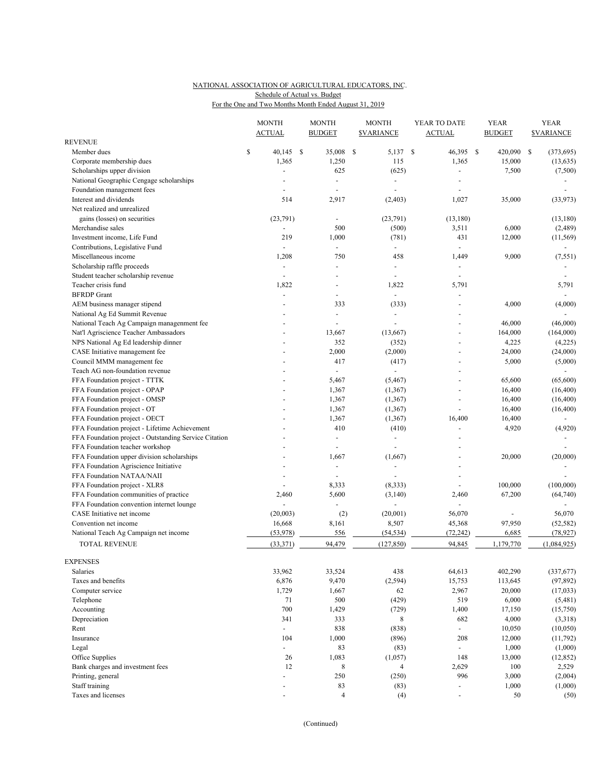# NATIONAL ASSOCIATION OF AGRICULTURAL EDUCATORS, INC. For the One and Two Months Month Ended August 31, 2019 Schedule of Actual vs. Budget

|                                                       | <b>MONTH</b><br><b>ACTUAL</b> | <b>BUDGET</b> | <b>MONTH</b>             | <b>MONTH</b><br><b><i>SVARIANCE</i></b> | YEAR TO DATE<br><b>ACTUAL</b> | <b>YEAR</b><br><b>BUDGET</b> | <b>YEAR</b><br><b>SVARIANCE</b> |
|-------------------------------------------------------|-------------------------------|---------------|--------------------------|-----------------------------------------|-------------------------------|------------------------------|---------------------------------|
| <b>REVENUE</b>                                        |                               |               |                          |                                         |                               |                              |                                 |
| Member dues                                           | \$<br>40,145<br>- \$          |               | 35,008                   | \$<br>5,137 \$                          | 46,395 \$                     | 420,090                      | \$<br>(373, 695)                |
| Corporate membership dues                             | 1,365                         |               | 1,250                    | 115                                     | 1,365                         | 15,000                       | (13, 635)                       |
| Scholarships upper division                           |                               |               | 625                      | (625)                                   |                               | 7,500                        | (7,500)                         |
| National Geographic Cengage scholarships              |                               |               | $\blacksquare$           | $\overline{\phantom{a}}$                |                               |                              |                                 |
| Foundation management fees                            |                               |               |                          | ÷,                                      |                               |                              |                                 |
| Interest and dividends                                | 514                           |               | 2,917                    | (2, 403)                                | 1,027                         | 35,000                       | (33,973)                        |
| Net realized and unrealized                           |                               |               |                          |                                         |                               |                              |                                 |
| gains (losses) on securities                          | (23,791)                      |               |                          | (23,791)                                | (13, 180)                     |                              | (13, 180)                       |
| Merchandise sales                                     |                               |               | 500                      | (500)                                   | 3,511                         | 6,000                        | (2,489)                         |
| Investment income, Life Fund                          | 219                           |               | 1,000                    | (781)                                   | 431                           | 12,000                       | (11, 569)                       |
| Contributions, Legislative Fund                       | ÷,                            |               | $\overline{a}$           | $\overline{\phantom{a}}$                | ÷                             |                              | $\sim$                          |
| Miscellaneous income                                  | 1,208                         |               | 750                      | 458                                     | 1,449                         | 9,000                        | (7, 551)                        |
| Scholarship raffle proceeds                           | $\overline{\phantom{a}}$      |               |                          | ÷,                                      | $\frac{1}{2}$                 |                              |                                 |
| Student teacher scholarship revenue                   |                               |               |                          |                                         | ÷,                            |                              |                                 |
| Teacher crisis fund                                   | 1,822                         |               |                          | 1,822                                   | 5,791                         |                              | 5,791                           |
| <b>BFRDP</b> Grant                                    |                               |               |                          |                                         |                               |                              | $\blacksquare$                  |
| AEM business manager stipend                          |                               |               | 333                      | (333)                                   | ÷,                            | 4,000                        | (4,000)                         |
| National Ag Ed Summit Revenue                         |                               |               | $\blacksquare$           | $\overline{a}$                          |                               |                              |                                 |
| National Teach Ag Campaign managenment fee            |                               |               |                          | $\overline{a}$                          | $\overline{a}$                | 46,000                       | (46,000)                        |
| Nat'l Agriscience Teacher Ambassadors                 |                               |               | 13,667                   | (13, 667)                               | ÷,                            | 164,000                      | (164,000)                       |
| NPS National Ag Ed leadership dinner                  |                               |               | 352                      | (352)                                   | $\overline{\phantom{a}}$      | 4,225                        | (4,225)                         |
| CASE Initiative management fee                        |                               |               | 2,000                    | (2,000)                                 | $\overline{a}$                | 24,000                       | (24,000)                        |
| Council MMM management fee                            |                               |               | 417                      | (417)                                   | $\overline{a}$                | 5,000                        | (5,000)                         |
| Teach AG non-foundation revenue                       |                               |               |                          |                                         |                               |                              |                                 |
| FFA Foundation project - TTTK                         |                               |               | 5,467                    | (5, 467)                                | ä,                            | 65,600                       | (65,600)                        |
| FFA Foundation project - OPAP                         |                               |               | 1,367                    | (1, 367)                                | ÷,                            | 16,400                       | (16, 400)                       |
| FFA Foundation project - OMSP                         |                               |               | 1,367                    | (1, 367)                                | $\overline{a}$                | 16,400                       | (16, 400)                       |
| FFA Foundation project - OT                           |                               |               | 1,367                    | (1, 367)                                | ÷,                            | 16,400                       | (16, 400)                       |
| FFA Foundation project - OECT                         |                               |               | 1,367                    | (1, 367)                                | 16,400                        | 16,400                       |                                 |
| FFA Foundation project - Lifetime Achievement         |                               |               | 410                      | (410)                                   | ÷,                            | 4,920                        | (4,920)                         |
| FFA Foundation project - Outstanding Service Citation |                               |               | $\blacksquare$           | $\overline{\phantom{a}}$                |                               |                              |                                 |
| FFA Foundation teacher workshop                       |                               |               |                          |                                         |                               |                              |                                 |
| FFA Foundation upper division scholarships            |                               |               | 1,667                    | (1,667)                                 |                               | 20,000                       | (20,000)                        |
| FFA Foundation Agriscience Initiative                 |                               |               | $\overline{\phantom{a}}$ | ÷,                                      |                               |                              |                                 |
| FFA Foundation NATAA/NAII                             |                               |               |                          |                                         | ä,                            |                              |                                 |
| FFA Foundation project - XLR8                         | $\sim$                        |               | 8,333                    | (8, 333)                                | $\overline{\phantom{a}}$      | 100,000                      | (100,000)                       |
| FFA Foundation communities of practice                | 2,460                         |               | 5,600                    | (3, 140)                                | 2,460                         | 67,200                       | (64, 740)                       |
| FFA Foundation convention internet lounge             | ÷,                            |               |                          | ÷,                                      | $\overline{a}$                |                              |                                 |
| CASE Initiative net income                            | (20,003)                      |               | (2)                      | (20,001)                                | 56,070                        |                              | 56,070                          |
| Convention net income                                 | 16,668                        |               | 8,161                    | 8,507                                   | 45,368                        | 97,950                       | (52, 582)                       |
| National Teach Ag Campaign net income                 | (53, 978)                     |               | 556                      | (54, 534)                               | (72, 242)                     | 6,685                        | (78, 927)                       |
| <b>TOTAL REVENUE</b>                                  | (33, 371)                     |               | 94,479                   | (127, 850)                              | 94,845                        | 1,179,770                    | (1,084,925)                     |
|                                                       |                               |               |                          |                                         |                               |                              |                                 |
| <b>EXPENSES</b>                                       |                               |               |                          |                                         |                               |                              |                                 |
| Salaries                                              | 33,962                        |               | 33,524                   | 438                                     | 64,613                        | 402,290                      | (337,677)                       |
| Taxes and benefits                                    | 6,876                         |               | 9,470                    | (2, 594)                                | 15,753                        | 113,645                      | (97, 892)                       |
| Computer service                                      | 1,729                         |               | 1,667                    | 62                                      | 2,967                         | 20,000                       | (17, 033)                       |
| Telephone                                             | 71                            |               | 500                      | (429)                                   | 519                           | 6,000                        | (5,481)                         |
| Accounting                                            | 700                           |               | 1,429                    | (729)                                   | 1,400                         | 17,150                       | (15,750)                        |
| Depreciation                                          | 341                           |               | 333                      | 8                                       | 682                           | 4,000                        | (3,318)                         |
| Rent                                                  | $\omega$                      |               | 838                      | (838)                                   |                               | 10,050                       | (10,050)                        |
| Insurance                                             | 104                           |               | 1,000                    | (896)                                   | 208                           | 12,000                       | (11, 792)                       |
| Legal                                                 | $\mathbb{Z}^{\mathbb{Z}}$     |               | 83                       | (83)                                    |                               | 1,000                        | (1,000)                         |
| Office Supplies                                       | 26                            |               | 1,083                    | (1,057)                                 | 148                           | 13,000                       | (12, 852)                       |
| Bank charges and investment fees                      | 12                            |               | 8                        | $\overline{4}$                          | 2,629                         | 100                          | 2,529                           |
| Printing, general                                     | $\overline{\phantom{a}}$      |               | 250                      | (250)                                   | 996                           | 3,000                        | (2,004)                         |
| Staff training                                        |                               |               | 83                       | (83)                                    | $\blacksquare$                | 1,000                        | (1,000)                         |
| Taxes and licenses                                    |                               |               | $\overline{4}$           | (4)                                     | $\overline{\phantom{0}}$      | 50                           | (50)                            |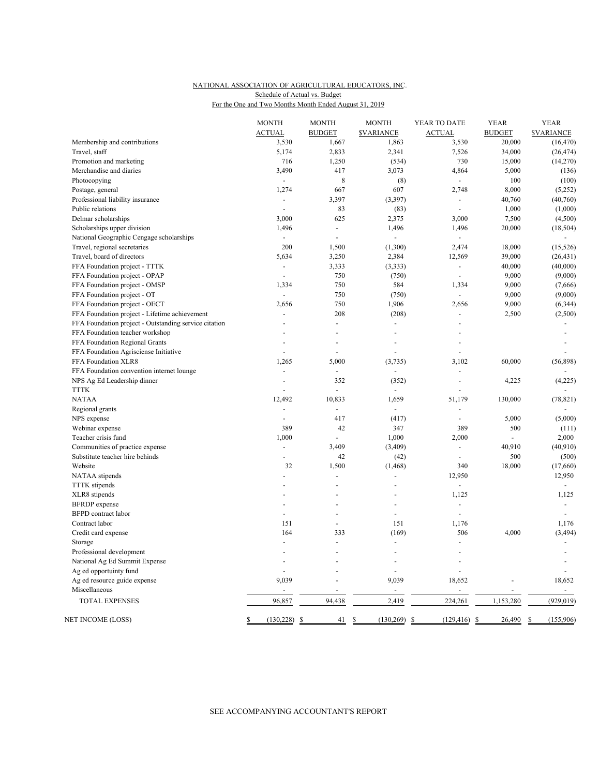# NATIONAL ASSOCIATION OF AGRICULTURAL EDUCATORS, INC. For the One and Two Months Month Ended August 31, 2019 Schedule of Actual vs. Budget

|                                                       | <b>MONTH</b><br><b>ACTUAL</b> | <b>MONTH</b><br><b>BUDGET</b> | <b>MONTH</b><br><b>SVARIANCE</b> | YEAR TO DATE<br><b>ACTUAL</b>    | <b>YEAR</b><br><b>BUDGET</b> | <b>YEAR</b><br><b>SVARIANCE</b> |
|-------------------------------------------------------|-------------------------------|-------------------------------|----------------------------------|----------------------------------|------------------------------|---------------------------------|
| Membership and contributions                          | 3,530                         | 1,667                         | 1,863                            | 3,530                            | 20,000                       | (16, 470)                       |
| Travel, staff                                         | 5,174                         | 2,833                         | 2,341                            | 7,526                            | 34,000                       | (26, 474)                       |
|                                                       |                               |                               |                                  | 730                              |                              |                                 |
| Promotion and marketing                               | 716                           | 1,250                         | (534)                            |                                  | 15,000                       | (14,270)                        |
| Merchandise and diaries                               | 3,490<br>$\mathbf{r}$         | 417                           | 3,073                            | 4,864<br>$\overline{a}$          | 5,000                        | (136)                           |
| Photocopying                                          |                               | 8                             | (8)                              |                                  | 100                          | (100)                           |
| Postage, general                                      | 1,274                         | 667                           | 607                              | 2,748                            | 8,000                        | (5,252)                         |
| Professional liability insurance                      | $\blacksquare$                | 3,397                         | (3, 397)                         | $\blacksquare$<br>$\overline{a}$ | 40,760                       | (40,760)                        |
| Public relations                                      |                               | 83                            | (83)                             |                                  | 1,000                        | (1,000)                         |
| Delmar scholarships                                   | 3,000                         | 625                           | 2,375                            | 3,000                            | 7,500                        | (4,500)                         |
| Scholarships upper division                           | 1,496                         | $\overline{a}$                | 1,496                            | 1,496                            | 20,000                       | (18, 504)                       |
| National Geographic Cengage scholarships              |                               | ÷,                            |                                  |                                  |                              |                                 |
| Travel, regional secretaries                          | 200                           | 1,500                         | (1,300)                          | 2,474                            | 18,000                       | (15, 526)                       |
| Travel, board of directors                            | 5,634                         | 3,250                         | 2,384                            | 12,569                           | 39,000                       | (26, 431)                       |
| FFA Foundation project - TTTK                         | $\sim$                        | 3,333                         | (3, 333)                         | $\overline{\phantom{a}}$         | 40,000                       | (40,000)                        |
| FFA Foundation project - OPAP                         | $\overline{a}$                | 750                           | (750)                            | $\blacksquare$                   | 9,000                        | (9,000)                         |
| FFA Foundation project - OMSP                         | 1,334                         | 750                           | 584                              | 1,334                            | 9,000                        | (7,666)                         |
| FFA Foundation project - OT                           | $\overline{a}$                | 750                           | (750)                            | $\overline{a}$                   | 9,000                        | (9,000)                         |
| FFA Foundation project - OECT                         | 2,656                         | 750                           | 1,906                            | 2,656                            | 9,000                        | (6, 344)                        |
| FFA Foundation project - Lifetime achievement         |                               | 208                           | (208)                            |                                  | 2,500                        | (2,500)                         |
| FFA Foundation project - Outstanding service citation | $\overline{a}$                | $\overline{a}$                | $\overline{\phantom{a}}$         | $\overline{a}$                   |                              |                                 |
| FFA Foundation teacher workshop                       |                               |                               | L,                               |                                  |                              |                                 |
| FFA Foundation Regional Grants                        | $\overline{a}$                | $\overline{a}$                | L.                               |                                  |                              |                                 |
| FFA Foundation Agrisciense Initiative                 |                               |                               |                                  |                                  |                              |                                 |
| FFA Foundation XLR8                                   | 1,265                         | 5,000                         | (3,735)                          | 3,102                            | 60,000                       | (56, 898)                       |
| FFA Foundation convention internet lounge             | ÷,                            | ÷,                            |                                  |                                  |                              |                                 |
| NPS Ag Ed Leadership dinner                           |                               | 352                           | (352)                            | $\sim$                           | 4,225                        | (4,225)                         |
| <b>TTTK</b>                                           |                               | ÷,                            | $\overline{a}$                   |                                  |                              |                                 |
| <b>NATAA</b>                                          | 12,492                        | 10,833                        | 1,659                            | 51,179                           | 130,000                      | (78, 821)                       |
| Regional grants                                       |                               |                               |                                  |                                  |                              |                                 |
| NPS expense                                           |                               | 417                           | (417)                            | $\overline{\phantom{a}}$         | 5,000                        | (5,000)                         |
| Webinar expense                                       | 389                           | 42                            | 347                              | 389                              | 500                          | (111)                           |
| Teacher crisis fund                                   | 1,000                         | ÷,                            | 1,000                            | 2,000                            | $\overline{a}$               | 2,000                           |
| Communities of practice expense                       | ÷.                            | 3,409                         | (3, 409)                         | $\overline{\phantom{a}}$         | 40,910                       | (40, 910)                       |
| Substitute teacher hire behinds                       |                               | 42                            | (42)                             |                                  | 500                          | (500)                           |
| Website                                               | 32                            | 1,500                         | (1, 468)                         | 340                              | 18,000                       | (17,660)                        |
| NATAA stipends                                        | $\overline{a}$                | $\overline{a}$                |                                  | 12,950                           |                              | 12,950                          |
| <b>TTTK</b> stipends                                  |                               |                               |                                  | $\overline{\phantom{a}}$         |                              | $\blacksquare$                  |
| XLR8 stipends                                         |                               | $\overline{a}$                | $\overline{a}$                   | 1,125                            |                              | 1,125                           |
| <b>BFRDP</b> expense                                  |                               |                               | L.                               |                                  |                              |                                 |
| <b>BFPD</b> contract labor                            | $\blacksquare$                |                               | ÷,                               | $\overline{\phantom{a}}$         |                              |                                 |
| Contract labor                                        | 151                           | $\overline{a}$                | 151                              | 1,176                            |                              | 1,176                           |
| Credit card expense                                   | 164                           | 333                           | (169)                            | 506                              | 4,000                        | (3, 494)                        |
| Storage                                               | $\sim$                        | $\overline{a}$                | $\overline{a}$                   | $\blacksquare$                   |                              |                                 |
| Professional development                              |                               |                               |                                  |                                  |                              |                                 |
| National Ag Ed Summit Expense                         |                               |                               | Ĭ.                               |                                  |                              |                                 |
| Ag ed opportuinty fund                                |                               |                               | ÷,                               |                                  |                              |                                 |
| Ag ed resource guide expense                          | 9,039                         |                               | 9,039                            | 18,652                           |                              | 18,652                          |
| Miscellaneous                                         |                               |                               | ÷,                               |                                  | ÷,                           | $\omega$                        |
| <b>TOTAL EXPENSES</b>                                 | 96,857                        | 94,438                        | 2,419                            | 224,261                          | 1,153,280                    | (929, 019)                      |
| NET INCOME (LOSS)                                     | \$<br>(130, 228)<br>\$        | 41                            | \$<br>(130, 269)                 | \$<br>$(129, 416)$ \$            | 26,490                       | \$<br>(155,906)                 |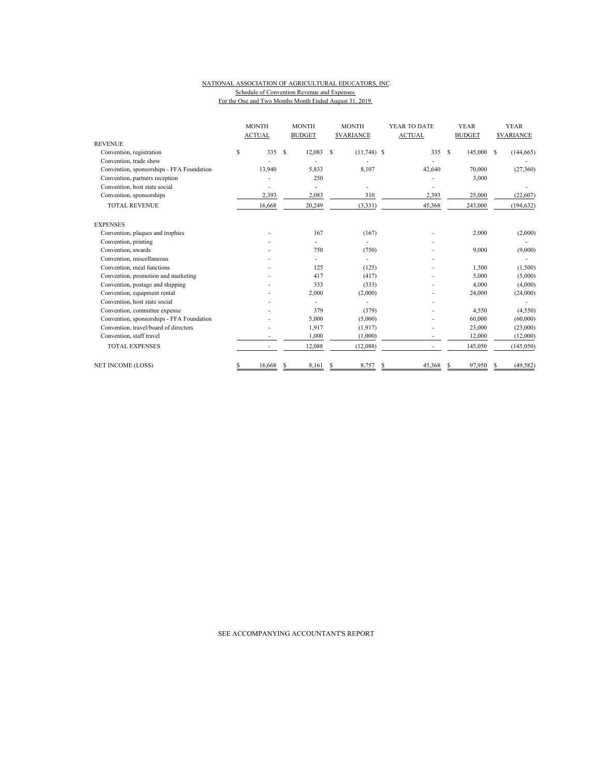#### NATIONAL ASSOCIATION OF AGRICULTURAL EDUCATORS, INC. Schedule of Convention Revenue and Expenses For the One and Two Months Month Ended August 31, 2019

|                                           | <b>MONTH</b><br><b>ACTUAL</b> |        |   | <b>MONTH</b><br><b>BUDGET</b> | <b>MONTH</b><br><b><i>SVARIANCE</i></b> |               |  | YEAR TO DATE<br><b>ACTUAL</b> |               | <b>YEAR</b><br><b>BUDGET</b> | <b>YEAR</b><br><b>SVARIANCE</b> |            |  |
|-------------------------------------------|-------------------------------|--------|---|-------------------------------|-----------------------------------------|---------------|--|-------------------------------|---------------|------------------------------|---------------------------------|------------|--|
| <b>REVENUE</b>                            |                               |        |   |                               |                                         |               |  |                               |               |                              |                                 |            |  |
| Convention, registration                  | \$                            | 335    | S | 12,083                        | S                                       | $(11,748)$ \$ |  | 335                           | <sup>\$</sup> | 145,000 \$                   |                                 | (144, 665) |  |
| Convention, trade show                    |                               |        |   |                               |                                         |               |  |                               |               |                              |                                 |            |  |
| Convention, sponsorships - FFA Foundation |                               | 13,940 |   | 5,833                         |                                         | 8,107         |  | 42,640                        |               | 70,000                       |                                 | (27,360)   |  |
| Convention, partners reception            |                               |        |   | 250                           |                                         |               |  |                               |               | 3,000                        |                                 |            |  |
| Convention, host state social             |                               |        |   |                               |                                         |               |  |                               |               |                              |                                 |            |  |
| Convention, sponsorships                  |                               | 2,393  |   | 2,083                         |                                         | 310           |  | 2,393                         |               | 25,000                       |                                 | (22, 607)  |  |
| <b>TOTAL REVENUE</b>                      |                               | 16,668 |   | 20,249                        |                                         | (3, 331)      |  | 45,368                        |               | 243,000                      |                                 | (194, 632) |  |
| <b>EXPENSES</b>                           |                               |        |   |                               |                                         |               |  |                               |               |                              |                                 |            |  |
| Convention, plaques and trophies          |                               |        |   | 167                           |                                         | (167)         |  |                               |               | 2,000                        |                                 | (2,000)    |  |
| Convention, printing                      |                               |        |   |                               |                                         |               |  |                               |               |                              |                                 |            |  |
| Convention, awards                        |                               |        |   | 750                           |                                         | (750)         |  |                               |               | 9,000                        |                                 | (9,000)    |  |
| Convention, miscellaneous                 |                               |        |   |                               |                                         |               |  |                               |               |                              |                                 |            |  |
| Convention, meal functions                |                               |        |   | 125                           |                                         | (125)         |  |                               |               | 1,500                        |                                 | (1,500)    |  |
| Convention, promotion and marketing       |                               |        |   | 417                           |                                         | (417)         |  |                               |               | 5,000                        |                                 | (5,000)    |  |
| Convention, postage and shipping          |                               |        |   | 333                           |                                         | (333)         |  |                               |               | 4,000                        |                                 | (4,000)    |  |
| Convention, equipment rental              |                               |        |   | 2,000                         |                                         | (2,000)       |  |                               |               | 24,000                       |                                 | (24,000)   |  |
| Convention, host state social             |                               |        |   |                               |                                         |               |  |                               |               |                              |                                 |            |  |
| Convention, committee expense             |                               |        |   | 379                           |                                         | (379)         |  |                               |               | 4,550                        |                                 | (4,550)    |  |
| Convention, sponsorships - FFA Foundation |                               |        |   | 5,000                         |                                         | (5,000)       |  |                               |               | 60,000                       |                                 | (60,000)   |  |
| Convention, travel/board of directors     |                               |        |   | 1,917                         |                                         | (1,917)       |  |                               |               | 23,000                       |                                 | (23,000)   |  |
| Convention, staff travel                  |                               |        |   | 1.000                         |                                         | (1,000)       |  |                               |               | 12,000                       |                                 | (12,000)   |  |
| <b>TOTAL EXPENSES</b>                     |                               |        |   | 12,088                        |                                         | (12,088)      |  |                               |               | 145,050                      |                                 | (145,050)  |  |
| <b>NET INCOME (LOSS)</b>                  | S                             | 16.668 |   | 8,161                         | S                                       | 8,757         |  | 45,368                        | S             | 97,950                       |                                 | (49, 582)  |  |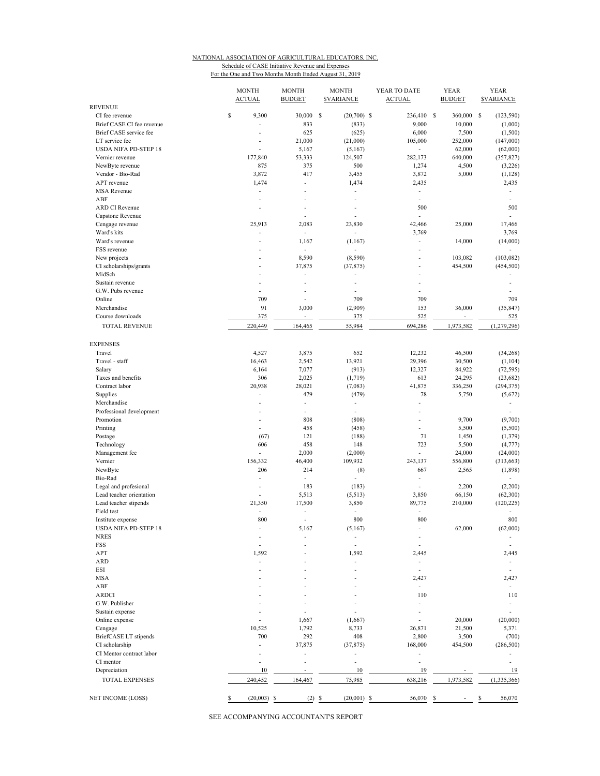#### NATIONAL ASSOCIATION OF AGRICULTURAL EDUCATORS, INC. Schedule of CASE Initiative Revenue and Expenses For the One and Two Months Month Ended August 31, 2019

|                              | <b>MONTH</b><br><b>ACTUAL</b> | <b>MONTH</b><br><b>BUDGET</b> | <b>MONTH</b><br><b>SVARIANCE</b> |                          | YEAR TO DATE<br><b>ACTUAL</b> | YEAR<br><b>BUDGET</b>    | YEAR<br><b>SVARIANCE</b> |
|------------------------------|-------------------------------|-------------------------------|----------------------------------|--------------------------|-------------------------------|--------------------------|--------------------------|
| <b>REVENUE</b>               |                               |                               |                                  |                          |                               |                          |                          |
| CI fee revenue               | \$<br>9,300                   | 30,000                        | \$                               | $(20,700)$ \$            | 236,410 \$                    | 360,000                  | \$<br>(123, 590)         |
| Brief CASE CI fee revenue    | $\overline{a}$                | 833                           |                                  | (833)                    | 9,000                         | 10,000                   | (1,000)                  |
| Brief CASE service fee       | $\overline{\phantom{a}}$      | 625                           |                                  | (625)                    | 6,000                         | 7,500                    | (1, 500)                 |
| LT service fee               |                               | 21,000                        |                                  | (21,000)                 | 105,000                       | 252,000                  | (147,000)                |
| <b>USDA NIFA PD-STEP 18</b>  | $\overline{a}$                | 5,167                         |                                  | (5,167)                  | $\overline{\phantom{a}}$      | 62,000                   | (62,000)                 |
| Vernier revenue              | 177,840                       | 53,333                        | 124,507                          |                          | 282,173                       | 640,000                  | (357, 827)               |
| NewByte revenue              | 875                           | 375                           |                                  | 500                      | 1,274                         | 4,500                    | (3,226)                  |
| Vendor - Bio-Rad             | 3,872                         | 417                           |                                  | 3,455                    | 3,872                         | 5,000                    | (1, 128)                 |
| APT revenue                  | 1,474                         | ٠                             |                                  | 1,474                    | 2,435                         |                          | 2,435                    |
| <b>MSA Revenue</b>           | $\overline{\phantom{a}}$      | $\overline{a}$                |                                  | ÷.                       | $\overline{\phantom{a}}$      |                          | $\overline{\phantom{a}}$ |
| ABF                          | ÷,                            |                               |                                  |                          | ÷.                            |                          | $\overline{\phantom{m}}$ |
| <b>ARD CI Revenue</b>        | $\overline{a}$                | $\overline{a}$                |                                  | $\overline{a}$           | 500                           |                          | 500                      |
| Capstone Revenue             |                               | $\overline{a}$                |                                  |                          |                               |                          | ÷                        |
| Cengage revenue              | 25,913                        | 2,083                         |                                  | 23,830                   | 42,466                        | 25,000                   | 17,466                   |
| Ward's kits                  | $\overline{\phantom{a}}$      | $\overline{\phantom{a}}$      |                                  |                          | 3,769                         |                          | 3,769                    |
| Ward's revenue               | ÷,                            | 1,167                         |                                  | (1, 167)                 | L.                            | 14,000                   | (14,000)                 |
| FSS revenue                  |                               | $\frac{1}{2}$                 |                                  |                          | L.                            |                          |                          |
| New projects                 | ÷.                            | 8,590                         |                                  | (8,590)                  | ÷.                            | 103,082                  | (103, 082)               |
| CI scholarships/grants       | $\overline{a}$                | 37,875                        |                                  | (37, 875)                | L.                            | 454,500                  | (454, 500)               |
| MidSch                       |                               | L,                            |                                  |                          | $\overline{a}$                |                          |                          |
| Sustain revenue              | $\overline{a}$                | $\overline{a}$                |                                  | $\overline{a}$           | ÷.                            |                          | L.                       |
| G.W. Pubs revenue            | ÷,                            | $\overline{\phantom{a}}$      |                                  | ٠                        | ٠                             |                          |                          |
| Online                       | 709                           |                               |                                  | 709                      | 709                           |                          | 709                      |
| Merchandise                  | 91                            | 3,000                         |                                  | (2,909)                  | 153                           | 36,000                   | (35, 847)                |
| Course downloads             | 375                           | $\overline{\phantom{a}}$      |                                  | 375                      | 525                           | ÷.                       | 525                      |
| <b>TOTAL REVENUE</b>         | 220,449                       | 164,465                       |                                  | 55,984                   | 694,286                       | 1,973,582                | (1,279,296)              |
|                              |                               |                               |                                  |                          |                               |                          |                          |
| <b>EXPENSES</b>              |                               |                               |                                  |                          |                               |                          |                          |
| Travel                       | 4,527                         | 3,875                         |                                  | 652                      | 12,232                        | 46,500                   | (34, 268)                |
| Travel - staff               | 16,463                        | 2,542                         |                                  | 13,921                   | 29,396                        | 30,500                   | (1, 104)                 |
| Salary                       | 6,164                         | 7,077                         |                                  | (913)                    | 12,327                        | 84,922                   | (72, 595)                |
| Taxes and benefits           | 306                           | 2,025                         |                                  | (1,719)                  | 613                           | 24,295                   | (23, 682)                |
| Contract labor               | 20,938                        | 28,021                        |                                  | (7,083)                  | 41,875                        | 336,250                  | (294, 375)               |
| Supplies                     | $\overline{\phantom{a}}$      | 479                           |                                  | (479)                    | 78                            | 5,750                    | (5,672)                  |
| Merchandise                  | $\overline{\phantom{a}}$      | $\blacksquare$                |                                  | $\overline{\phantom{a}}$ | L.                            |                          | ٠                        |
| Professional development     |                               |                               |                                  | $\overline{\phantom{0}}$ | $\overline{a}$                |                          |                          |
| Promotion                    | $\overline{a}$                | 808                           |                                  | (808)                    | ÷.                            | 9,700                    | (9,700)                  |
| Printing                     | $\overline{a}$                | 458                           |                                  | (458)                    | ÷.                            | 5,500                    | (5,500)                  |
| Postage                      | (67)                          | 121                           |                                  | (188)                    | 71                            | 1,450                    | (1, 379)                 |
| Technology                   | 606                           | 458                           |                                  | 148                      | 723                           | 5,500                    | (4, 777)                 |
| Management fee               | $\overline{a}$                | 2,000                         |                                  | (2,000)                  | ÷.                            | 24,000                   | (24,000)                 |
| Vernier                      | 156,332                       | 46,400                        | 109,932                          |                          | 243,137                       | 556,800                  | (313, 663)               |
| NewByte                      | 206                           | 214                           |                                  | (8)                      | 667                           | 2,565                    | (1, 898)                 |
| Bio-Rad                      | ÷.                            | $\overline{a}$                |                                  | $\overline{a}$           | ÷,                            |                          | ÷                        |
| Legal and profesional        | $\overline{a}$                | 183                           |                                  | (183)                    | $\overline{a}$                | 2,200                    | (2,200)                  |
| Lead teacher orientation     | ÷,                            | 5,513                         |                                  | (5, 513)                 | 3,850                         | 66,150                   | (62, 300)                |
| Lead teacher stipends        | 21,350                        | 17,500                        |                                  | 3,850                    | 89,775                        | 210,000                  | (120, 225)               |
| Field test                   | ٠                             | $\overline{\phantom{a}}$      |                                  |                          | $\overline{a}$                |                          | ٠                        |
| Institute expense            | 800                           | $\overline{a}$                |                                  | 800                      | 800                           |                          | 800                      |
| <b>USDA NIFA PD-STEP 18</b>  |                               | 5,167                         |                                  | (5,167)                  |                               | 62,000                   | (62,000)                 |
| <b>NRES</b>                  | $\overline{\phantom{a}}$      |                               |                                  |                          | ٠                             |                          |                          |
| FSS                          | ÷,                            |                               |                                  |                          | $\overline{a}$                |                          |                          |
| APT                          | 1,592                         |                               |                                  | 1,592                    | 2,445                         |                          | 2,445                    |
| <b>ARD</b>                   | $\overline{\phantom{a}}$      |                               |                                  |                          | ÷,                            |                          | $\overline{\phantom{a}}$ |
| <b>ESI</b>                   |                               |                               |                                  |                          | $\overline{a}$                |                          | $\mathbf{r}$             |
| <b>MSA</b>                   |                               |                               |                                  |                          | 2,427                         |                          | 2,427                    |
| ABF                          |                               |                               |                                  |                          | $\overline{a}$                |                          | $\mathbf{r}$             |
| ARDCI                        |                               |                               |                                  |                          | 110                           |                          | 110                      |
| G.W. Publisher               |                               |                               |                                  |                          | $\overline{a}$                |                          | $\overline{\phantom{a}}$ |
| Sustain expense              |                               |                               |                                  |                          | ٠                             |                          | ٠                        |
| Online expense               |                               | 1,667                         |                                  | (1,667)                  |                               | 20,000                   | (20,000)                 |
| Cengage                      | 10,525                        | 1,792                         |                                  | 8,733                    | 26,871                        | 21,500                   | 5,371                    |
| <b>BriefCASE LT stipends</b> | 700                           | 292                           |                                  | 408                      | 2,800                         | 3,500                    | (700)                    |
| CI scholarship               | ÷,                            | 37,875                        |                                  | (37, 875)                | 168,000                       | 454,500                  | (286, 500)               |
| CI Mentor contract labor     |                               |                               |                                  |                          | $\overline{a}$                |                          |                          |
| CI mentor                    | ٠                             | ä,                            |                                  | $\overline{a}$           | ä,                            |                          | $\overline{a}$           |
| Depreciation                 | 10                            | $\blacksquare$                |                                  | 10                       | 19                            | $\overline{\phantom{a}}$ | 19                       |
| <b>TOTAL EXPENSES</b>        | 240,452                       | 164,467                       |                                  | 75,985                   | 638,216                       | 1,973,582                | (1, 335, 366)            |
|                              |                               |                               |                                  |                          |                               |                          |                          |
| <b>NET INCOME (LOSS)</b>     | \$<br>$(20,003)$ \$           | $(2)$ \$                      |                                  | $(20,001)$ \$            | 56,070 \$                     |                          | \$<br>56,070             |